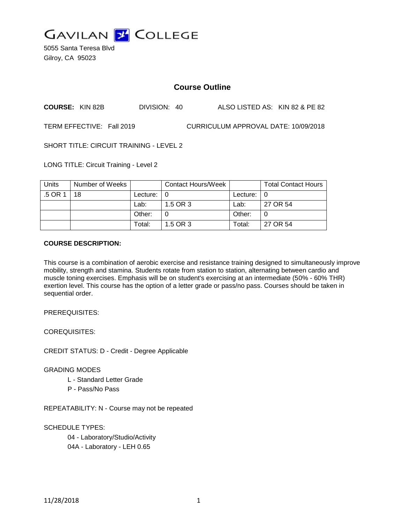

5055 Santa Teresa Blvd Gilroy, CA 95023

# **Course Outline**

**COURSE:** KIN 82B DIVISION: 40 ALSO LISTED AS: KIN 82 & PE 82

TERM EFFECTIVE: Fall 2019 CURRICULUM APPROVAL DATE: 10/09/2018

SHORT TITLE: CIRCUIT TRAINING - LEVEL 2

LONG TITLE: Circuit Training - Level 2

| Units | Number of Weeks |                            | Contact Hours/Week |               | <b>Total Contact Hours</b> |
|-------|-----------------|----------------------------|--------------------|---------------|----------------------------|
| .5 OR | 18              | Lecture: $\vert 0 \rangle$ |                    | Lecture: $ 0$ |                            |
|       |                 | Lab:                       | 1.5 OR 3           | Lab:          | 27 OR 54                   |
|       |                 | Other:                     |                    | Other:        |                            |
|       |                 | Total:                     | 1.5 OR 3           | Total:        | 27 OR 54                   |

#### **COURSE DESCRIPTION:**

This course is a combination of aerobic exercise and resistance training designed to simultaneously improve mobility, strength and stamina. Students rotate from station to station, alternating between cardio and muscle toning exercises. Emphasis will be on student's exercising at an intermediate (50% - 60% THR) exertion level. This course has the option of a letter grade or pass/no pass. Courses should be taken in sequential order.

PREREQUISITES:

COREQUISITES:

CREDIT STATUS: D - Credit - Degree Applicable

### GRADING MODES

- L Standard Letter Grade
- P Pass/No Pass

REPEATABILITY: N - Course may not be repeated

### SCHEDULE TYPES:

04 - Laboratory/Studio/Activity 04A - Laboratory - LEH 0.65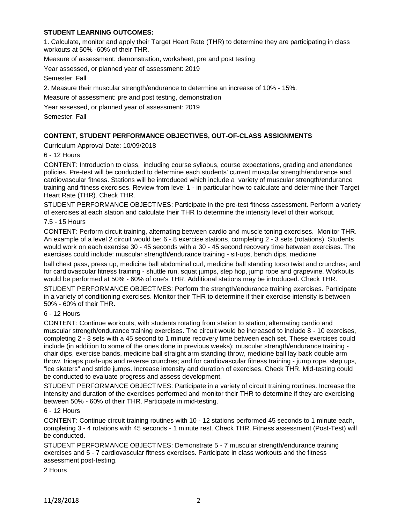# **STUDENT LEARNING OUTCOMES:**

1. Calculate, monitor and apply their Target Heart Rate (THR) to determine they are participating in class workouts at 50% -60% of their THR.

Measure of assessment: demonstration, worksheet, pre and post testing

Year assessed, or planned year of assessment: 2019

Semester: Fall

2. Measure their muscular strength/endurance to determine an increase of 10% - 15%.

Measure of assessment: pre and post testing, demonstration

Year assessed, or planned year of assessment: 2019

Semester: Fall

### **CONTENT, STUDENT PERFORMANCE OBJECTIVES, OUT-OF-CLASS ASSIGNMENTS**

Curriculum Approval Date: 10/09/2018

6 - 12 Hours

CONTENT: Introduction to class, including course syllabus, course expectations, grading and attendance policies. Pre-test will be conducted to determine each students' current muscular strength/endurance and cardiovascular fitness. Stations will be introduced which include a variety of muscular strength/endurance training and fitness exercises. Review from level 1 - in particular how to calculate and determine their Target Heart Rate (THR). Check THR.

STUDENT PERFORMANCE OBJECTIVES: Participate in the pre-test fitness assessment. Perform a variety of exercises at each station and calculate their THR to determine the intensity level of their workout.

#### 7.5 - 15 Hours

CONTENT: Perform circuit training, alternating between cardio and muscle toning exercises. Monitor THR. An example of a level 2 circuit would be: 6 - 8 exercise stations, completing 2 - 3 sets (rotations). Students would work on each exercise 30 - 45 seconds with a 30 - 45 second recovery time between exercises. The exercises could include: muscular strength/endurance training - sit-ups, bench dips, medicine

ball chest pass, press up, medicine ball abdominal curl, medicine ball standing torso twist and crunches; and for cardiovascular fitness training - shuttle run, squat jumps, step hop, jump rope and grapevine. Workouts would be performed at 50% - 60% of one's THR. Additional stations may be introduced. Check THR.

STUDENT PERFORMANCE OBJECTIVES: Perform the strength/endurance training exercises. Participate in a variety of conditioning exercises. Monitor their THR to determine if their exercise intensity is between 50% - 60% of their THR.

# 6 - 12 Hours

CONTENT: Continue workouts, with students rotating from station to station, alternating cardio and muscular strength/endurance training exercises. The circuit would be increased to include 8 - 10 exercises, completing 2 - 3 sets with a 45 second to 1 minute recovery time between each set. These exercises could include (in addition to some of the ones done in previous weeks): muscular strength/endurance training chair dips, exercise bands, medicine ball straight arm standing throw, medicine ball lay back double arm throw, triceps push-ups and reverse crunches; and for cardiovascular fitness training - jump rope, step ups, "ice skaters" and stride jumps. Increase intensity and duration of exercises. Check THR. Mid-testing could be conducted to evaluate progress and assess development.

STUDENT PERFORMANCE OBJECTIVES: Participate in a variety of circuit training routines. Increase the intensity and duration of the exercises performed and monitor their THR to determine if they are exercising between 50% - 60% of their THR. Participate in mid-testing.

#### 6 - 12 Hours

CONTENT: Continue circuit training routines with 10 - 12 stations performed 45 seconds to 1 minute each, completing 3 - 4 rotations with 45 seconds - 1 minute rest. Check THR. Fitness assessment (Post-Test) will be conducted.

STUDENT PERFORMANCE OBJECTIVES: Demonstrate 5 - 7 muscular strength/endurance training exercises and 5 - 7 cardiovascular fitness exercises. Participate in class workouts and the fitness assessment post-testing.

2 Hours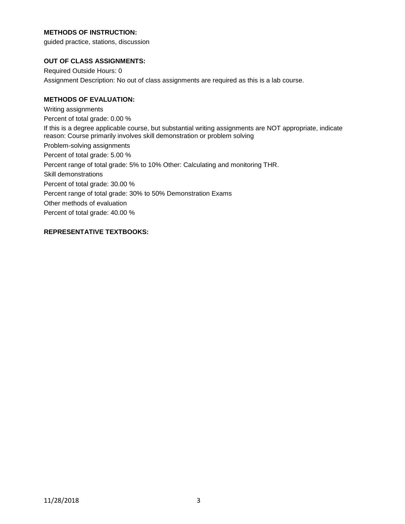# **METHODS OF INSTRUCTION:**

guided practice, stations, discussion

# **OUT OF CLASS ASSIGNMENTS:**

Required Outside Hours: 0 Assignment Description: No out of class assignments are required as this is a lab course.

# **METHODS OF EVALUATION:**

Writing assignments Percent of total grade: 0.00 % If this is a degree applicable course, but substantial writing assignments are NOT appropriate, indicate reason: Course primarily involves skill demonstration or problem solving Problem-solving assignments Percent of total grade: 5.00 % Percent range of total grade: 5% to 10% Other: Calculating and monitoring THR. Skill demonstrations Percent of total grade: 30.00 % Percent range of total grade: 30% to 50% Demonstration Exams Other methods of evaluation Percent of total grade: 40.00 %

# **REPRESENTATIVE TEXTBOOKS:**